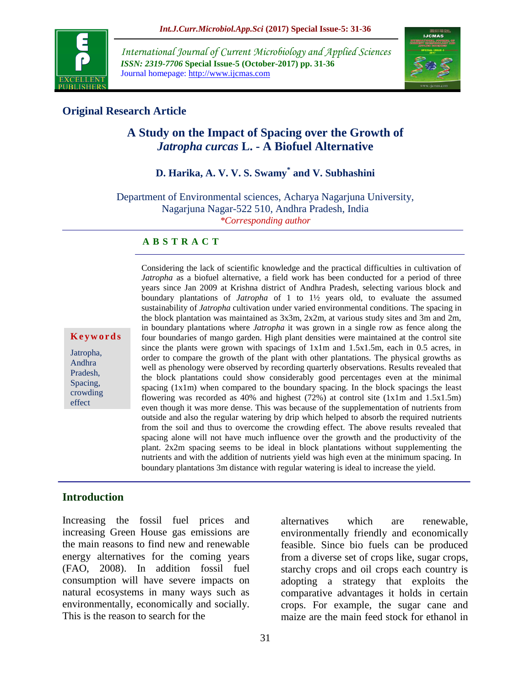

*International Journal of Current Microbiology and Applied Sciences ISSN: 2319-7706* **Special Issue-5 (October-2017) pp. 31-36** Journal homepage: http://www.ijcmas.com



## **Original Research Article**

# **A Study on the Impact of Spacing over the Growth of**  *Jatropha curcas* **L. - A Biofuel Alternative**

# **D. Harika, A. V. V. S. Swamy\* and V. Subhashini**

Department of Environmental sciences, Acharya Nagarjuna University, Nagarjuna Nagar-522 510, Andhra Pradesh, India *\*Corresponding author*

#### **A B S T R A C T**

**K e y w o r d s**

Jatropha, Andhra Pradesh, Spacing, crowding effect

Considering the lack of scientific knowledge and the practical difficulties in cultivation of *Jatropha* as a biofuel alternative, a field work has been conducted for a period of three years since Jan 2009 at Krishna district of Andhra Pradesh, selecting various block and boundary plantations of *Jatropha* of 1 to 1½ years old, to evaluate the assumed sustainability of *Jatropha* cultivation under varied environmental conditions*.* The spacing in the block plantation was maintained as 3x3m, 2x2m, at various study sites and 3m and 2m, in boundary plantations where *Jatropha* it was grown in a single row as fence along the four boundaries of mango garden. High plant densities were maintained at the control site since the plants were grown with spacings of  $1x1m$  and  $1.5x1.5m$ , each in 0.5 acres, in order to compare the growth of the plant with other plantations. The physical growths as well as phenology were observed by recording quarterly observations. Results revealed that the block plantations could show considerably good percentages even at the minimal spacing  $(1x1m)$  when compared to the boundary spacing. In the block spacings the least flowering was recorded as 40% and highest (72%) at control site (1x1m and 1.5x1.5m) even though it was more dense. This was because of the supplementation of nutrients from outside and also the regular watering by drip which helped to absorb the required nutrients from the soil and thus to overcome the crowding effect. The above results revealed that spacing alone will not have much influence over the growth and the productivity of the plant. 2x2m spacing seems to be ideal in block plantations without supplementing the nutrients and with the addition of nutrients yield was high even at the minimum spacing. In boundary plantations 3m distance with regular watering is ideal to increase the yield.

#### **Introduction**

Increasing the fossil fuel prices and increasing Green House gas emissions are the main reasons to find new and renewable energy alternatives for the coming years (FAO, 2008). In addition fossil fuel consumption will have severe impacts on natural ecosystems in many ways such as environmentally, economically and socially. This is the reason to search for the

alternatives which are renewable, environmentally friendly and economically feasible. Since bio fuels can be produced from a diverse set of crops like, sugar crops, starchy crops and oil crops each country is adopting a strategy that exploits the comparative advantages it holds in certain crops. For example, the sugar cane and maize are the main feed stock for ethanol in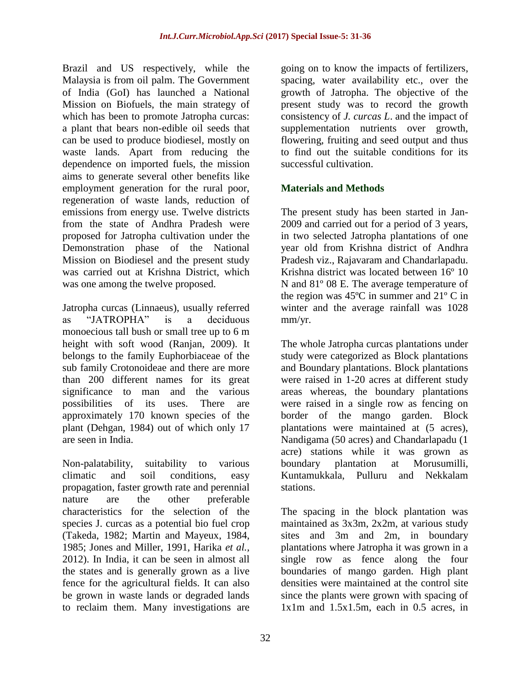Brazil and US respectively, while the Malaysia is from oil palm. The Government of India (GoI) has launched a National Mission on Biofuels, the main strategy of which has been to promote Jatropha curcas: a plant that bears non-edible oil seeds that can be used to produce biodiesel, mostly on waste lands. Apart from reducing the dependence on imported fuels, the mission aims to generate several other benefits like employment generation for the rural poor, regeneration of waste lands, reduction of emissions from energy use. Twelve districts from the state of Andhra Pradesh were proposed for Jatropha cultivation under the Demonstration phase of the National Mission on Biodiesel and the present study was carried out at Krishna District, which was one among the twelve proposed.

Jatropha curcas (Linnaeus), usually referred as "JATROPHA" is a deciduous monoecious tall bush or small tree up to 6 m height with soft wood (Ranjan, 2009). It belongs to the family Euphorbiaceae of the sub family Crotonoideae and there are more than 200 different names for its great significance to man and the various possibilities of its uses. There are approximately 170 known species of the plant (Dehgan, 1984) out of which only 17 are seen in India.

Non-palatability, suitability to various climatic and soil conditions, easy propagation, faster growth rate and perennial nature are the other preferable characteristics for the selection of the species J. curcas as a potential bio fuel crop (Takeda, 1982; Martin and Mayeux, 1984, 1985; Jones and Miller, 1991, Harika *et al.,* 2012). In India, it can be seen in almost all the states and is generally grown as a live fence for the agricultural fields. It can also be grown in waste lands or degraded lands to reclaim them. Many investigations are

going on to know the impacts of fertilizers, spacing, water availability etc., over the growth of Jatropha. The objective of the present study was to record the growth consistency of *J. curcas L*. and the impact of supplementation nutrients over growth, flowering, fruiting and seed output and thus to find out the suitable conditions for its successful cultivation.

## **Materials and Methods**

The present study has been started in Jan-2009 and carried out for a period of 3 years, in two selected Jatropha plantations of one year old from Krishna district of Andhra Pradesh viz., Rajavaram and Chandarlapadu. Krishna district was located between 16º 10 N and 81º 08 E. The average temperature of the region was 45ºC in summer and 21º C in winter and the average rainfall was 1028 mm/yr.

The whole Jatropha curcas plantations under study were categorized as Block plantations and Boundary plantations. Block plantations were raised in 1-20 acres at different study areas whereas, the boundary plantations were raised in a single row as fencing on border of the mango garden. Block plantations were maintained at (5 acres), Nandigama (50 acres) and Chandarlapadu (1 acre) stations while it was grown as boundary plantation at Morusumilli, Kuntamukkala, Pulluru and Nekkalam stations.

The spacing in the block plantation was maintained as 3x3m, 2x2m, at various study sites and 3m and 2m, in boundary plantations where Jatropha it was grown in a single row as fence along the four boundaries of mango garden. High plant densities were maintained at the control site since the plants were grown with spacing of  $1x1m$  and  $1.5x1.5m$ , each in 0.5 acres, in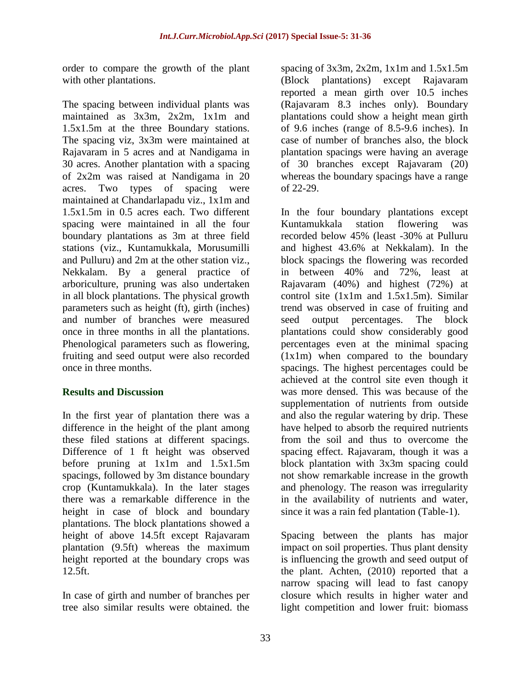order to compare the growth of the plant with other plantations.

The spacing between individual plants was maintained as 3x3m, 2x2m, 1x1m and 1.5x1.5m at the three Boundary stations. The spacing viz, 3x3m were maintained at Rajavaram in 5 acres and at Nandigama in 30 acres. Another plantation with a spacing of 2x2m was raised at Nandigama in 20 acres. Two types of spacing were maintained at Chandarlapadu viz., 1x1m and 1.5x1.5m in 0.5 acres each. Two different spacing were maintained in all the four boundary plantations as 3m at three field stations (viz., Kuntamukkala, Morusumilli and Pulluru) and 2m at the other station viz., Nekkalam. By a general practice of arboriculture, pruning was also undertaken in all block plantations. The physical growth parameters such as height (ft), girth (inches) and number of branches were measured once in three months in all the plantations. Phenological parameters such as flowering, fruiting and seed output were also recorded once in three months.

### **Results and Discussion**

In the first year of plantation there was a difference in the height of the plant among these filed stations at different spacings. Difference of 1 ft height was observed before pruning at 1x1m and 1.5x1.5m spacings, followed by 3m distance boundary crop (Kuntamukkala). In the later stages there was a remarkable difference in the height in case of block and boundary plantations. The block plantations showed a height of above 14.5ft except Rajavaram plantation (9.5ft) whereas the maximum height reported at the boundary crops was 12.5ft.

In case of girth and number of branches per tree also similar results were obtained. the spacing of  $3x3m$ ,  $2x2m$ ,  $1x1m$  and  $1.5x1.5m$ (Block plantations) except Rajavaram reported a mean girth over 10.5 inches (Rajavaram 8.3 inches only). Boundary plantations could show a height mean girth of 9.6 inches (range of 8.5-9.6 inches). In case of number of branches also, the block plantation spacings were having an average of 30 branches except Rajavaram (20) whereas the boundary spacings have a range of 22-29.

In the four boundary plantations except Kuntamukkala station flowering was recorded below 45% (least -30% at Pulluru and highest 43.6% at Nekkalam). In the block spacings the flowering was recorded in between 40% and 72%, least at Rajavaram (40%) and highest (72%) at control site (1x1m and 1.5x1.5m). Similar trend was observed in case of fruiting and seed output percentages. The block plantations could show considerably good percentages even at the minimal spacing (1x1m) when compared to the boundary spacings. The highest percentages could be achieved at the control site even though it was more densed. This was because of the supplementation of nutrients from outside and also the regular watering by drip. These have helped to absorb the required nutrients from the soil and thus to overcome the spacing effect. Rajavaram, though it was a block plantation with 3x3m spacing could not show remarkable increase in the growth and phenology. The reason was irregularity in the availability of nutrients and water, since it was a rain fed plantation (Table-1).

Spacing between the plants has major impact on soil properties. Thus plant density is influencing the growth and seed output of the plant. Achten, (2010) reported that a narrow spacing will lead to fast canopy closure which results in higher water and light competition and lower fruit: biomass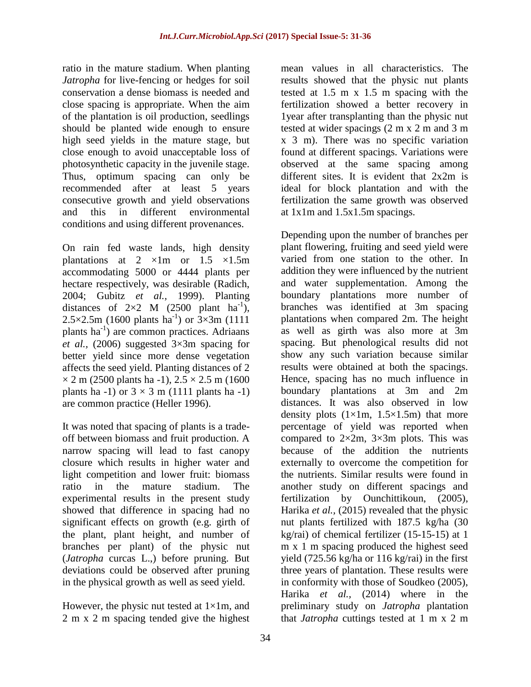ratio in the mature stadium. When planting *Jatropha* for live-fencing or hedges for soil conservation a dense biomass is needed and close spacing is appropriate. When the aim of the plantation is oil production, seedlings should be planted wide enough to ensure high seed yields in the mature stage, but close enough to avoid unacceptable loss of photosynthetic capacity in the juvenile stage. Thus, optimum spacing can only be recommended after at least 5 years consecutive growth and yield observations and this in different environmental conditions and using different provenances.

On rain fed waste lands, high density plantations at  $2 \times 1$ m or  $1.5 \times 1.5$ m accommodating 5000 or 4444 plants per hectare respectively, was desirable (Radich, 2004; Gubitz *et al.,* 1999). Planting distances of  $2\times2$  M (2500 plant ha<sup>-1</sup>), 2.5 $\times$ 2.5m (1600 plants ha<sup>-1</sup>) or  $3\times3$ m (1111 plants ha<sup>-1</sup>) are common practices. Adriaans *et al.,* (2006) suggested 3×3m spacing for better yield since more dense vegetation affects the seed yield. Planting distances of 2  $\times$  2 m (2500 plants ha -1), 2.5  $\times$  2.5 m (1600) plants ha -1) or  $3 \times 3$  m (1111 plants ha -1) are common practice (Heller 1996).

It was noted that spacing of plants is a tradeoff between biomass and fruit production. A narrow spacing will lead to fast canopy closure which results in higher water and light competition and lower fruit: biomass ratio in the mature stadium. The experimental results in the present study showed that difference in spacing had no significant effects on growth (e.g. girth of the plant, plant height, and number of branches per plant) of the physic nut (*Jatropha* curcas L.,) before pruning. But deviations could be observed after pruning in the physical growth as well as seed yield.

However, the physic nut tested at  $1\times1$ m, and 2 m x 2 m spacing tended give the highest

mean values in all characteristics. The results showed that the physic nut plants tested at 1.5 m x 1.5 m spacing with the fertilization showed a better recovery in 1year after transplanting than the physic nut tested at wider spacings (2 m x 2 m and 3 m x 3 m). There was no specific variation found at different spacings. Variations were observed at the same spacing among different sites. It is evident that 2x2m is ideal for block plantation and with the fertilization the same growth was observed at 1x1m and 1.5x1.5m spacings.

Depending upon the number of branches per plant flowering, fruiting and seed yield were varied from one station to the other. In addition they were influenced by the nutrient and water supplementation. Among the boundary plantations more number of branches was identified at 3m spacing plantations when compared 2m. The height as well as girth was also more at 3m spacing. But phenological results did not show any such variation because similar results were obtained at both the spacings. Hence, spacing has no much influence in boundary plantations at 3m and 2m distances. It was also observed in low density plots  $(1\times1m, 1.5\times1.5m)$  that more percentage of yield was reported when compared to  $2\times 2m$ ,  $3\times 3m$  plots. This was because of the addition the nutrients externally to overcome the competition for the nutrients. Similar results were found in another study on different spacings and fertilization by Ounchittikoun, (2005), Harika *et al.,* (2015) revealed that the physic nut plants fertilized with 187.5 kg/ha (30 kg/rai) of chemical fertilizer (15-15-15) at 1 m x 1 m spacing produced the highest seed yield (725.56 kg/ha or 116 kg/rai) in the first three years of plantation. These results were in conformity with those of Soudkeo (2005), Harika *et al.,* (2014) where in the preliminary study on *Jatropha* plantation that *Jatropha* cuttings tested at 1 m x 2 m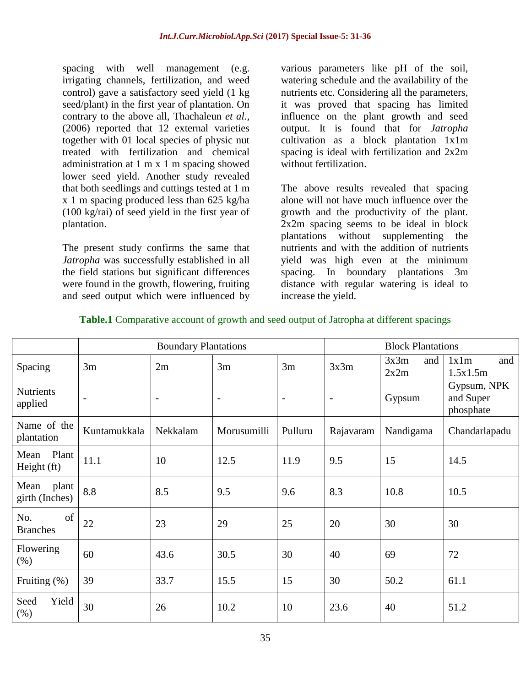spacing with well management (e.g. irrigating channels, fertilization, and weed control) gave a satisfactory seed yield (1 kg seed/plant) in the first year of plantation. On contrary to the above all, Thachaleun *et al.,* (2006) reported that 12 external varieties together with 01 local species of physic nut treated with fertilization and chemical administration at 1 m x 1 m spacing showed lower seed yield. Another study revealed that both seedlings and cuttings tested at 1 m x 1 m spacing produced less than 625 kg/ha (100 kg/rai) of seed yield in the first year of plantation.

The present study confirms the same that *Jatropha* was successfully established in all the field stations but significant differences were found in the growth, flowering, fruiting and seed output which were influenced by

various parameters like pH of the soil, watering schedule and the availability of the nutrients etc. Considering all the parameters, it was proved that spacing has limited influence on the plant growth and seed output. It is found that for *Jatropha* cultivation as a block plantation 1x1m spacing is ideal with fertilization and 2x2m without fertilization.

The above results revealed that spacing alone will not have much influence over the growth and the productivity of the plant. 2x2m spacing seems to be ideal in block plantations without supplementing the nutrients and with the addition of nutrients yield was high even at the minimum spacing. In boundary plantations 3m distance with regular watering is ideal to increase the yield.

|                                 | <b>Boundary Plantations</b> |                          |                          |                          | <b>Block Plantations</b> |                     |                                       |
|---------------------------------|-----------------------------|--------------------------|--------------------------|--------------------------|--------------------------|---------------------|---------------------------------------|
| Spacing                         | 3m                          | 2m                       | 3m                       | 3m                       | 3x3m                     | 3x3m<br>and<br>2x2m | 1x1m<br>and<br>1.5x1.5m               |
| <b>Nutrients</b><br>applied     | $\overline{\phantom{a}}$    | $\overline{\phantom{a}}$ | $\overline{\phantom{a}}$ | $\overline{\phantom{a}}$ | $\overline{\phantom{a}}$ | Gypsum              | Gypsum, NPK<br>and Super<br>phosphate |
| Name of the<br>plantation       | Kuntamukkala                | Nekkalam                 | Morusumilli              | Pulluru                  | Rajavaram                | Nandigama           | Chandarlapadu                         |
| Plant<br>Mean<br>Height (ft)    | 11.1                        | 10                       | 12.5                     | 11.9                     | 9.5                      | 15                  | 14.5                                  |
| Mean<br>plant<br>girth (Inches) | 8.8                         | 8.5                      | 9.5                      | 9.6                      | 8.3                      | 10.8                | 10.5                                  |
| of<br>No.<br><b>Branches</b>    | 22                          | 23                       | 29                       | 25                       | 20                       | 30                  | 30                                    |
| Flowering<br>(% )               | 60                          | 43.6                     | 30.5                     | 30                       | 40                       | 69                  | 72                                    |
| Fruiting $(\%)$                 | 39                          | 33.7                     | 15.5                     | 15                       | 30                       | 50.2                | 61.1                                  |
| Seed<br>Yield<br>(% )           | 30                          | 26                       | 10.2                     | 10                       | 23.6                     | 40                  | 51.2                                  |

### **Table.1** Comparative account of growth and seed output of Jatropha at different spacings